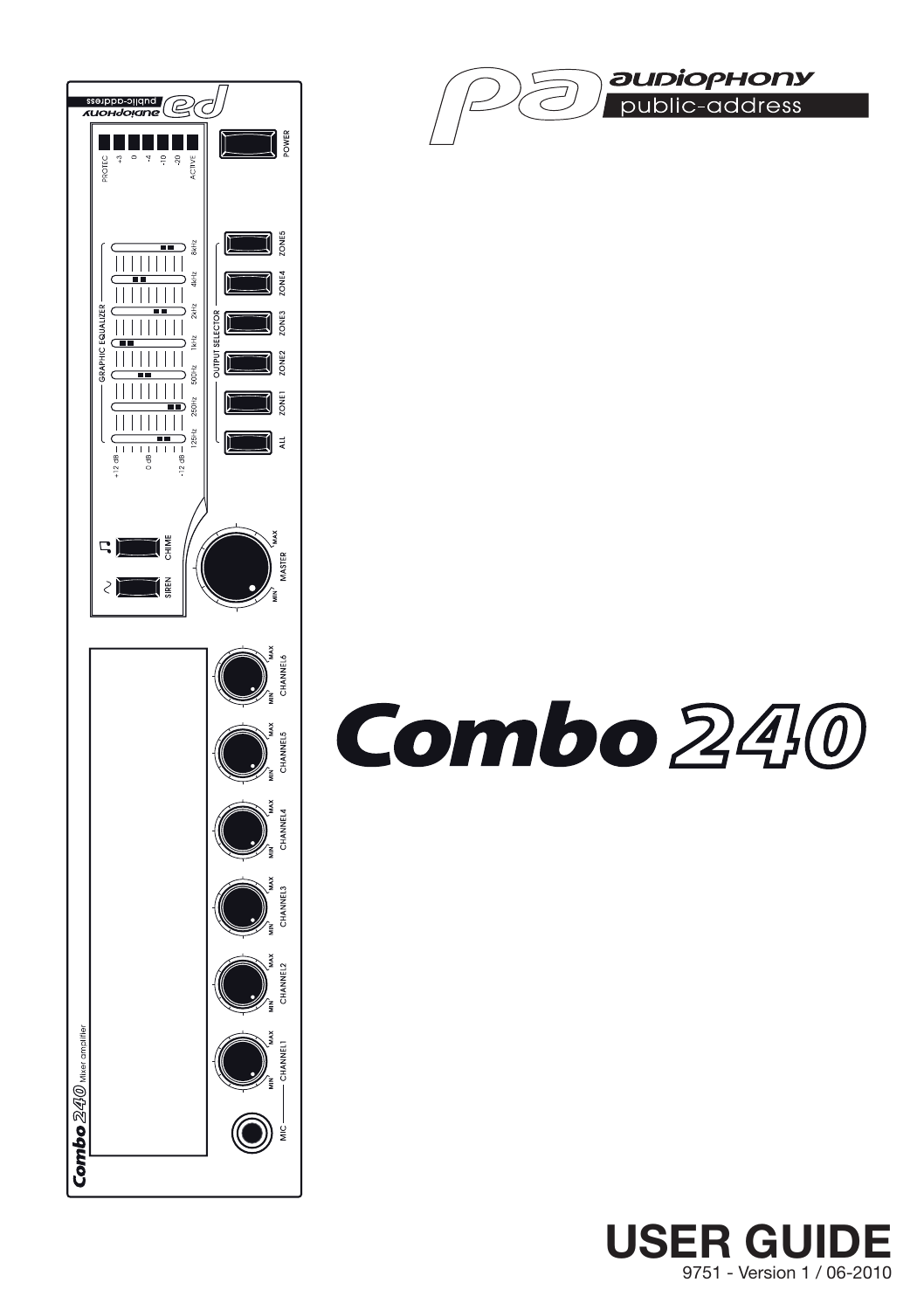



# Combo 240

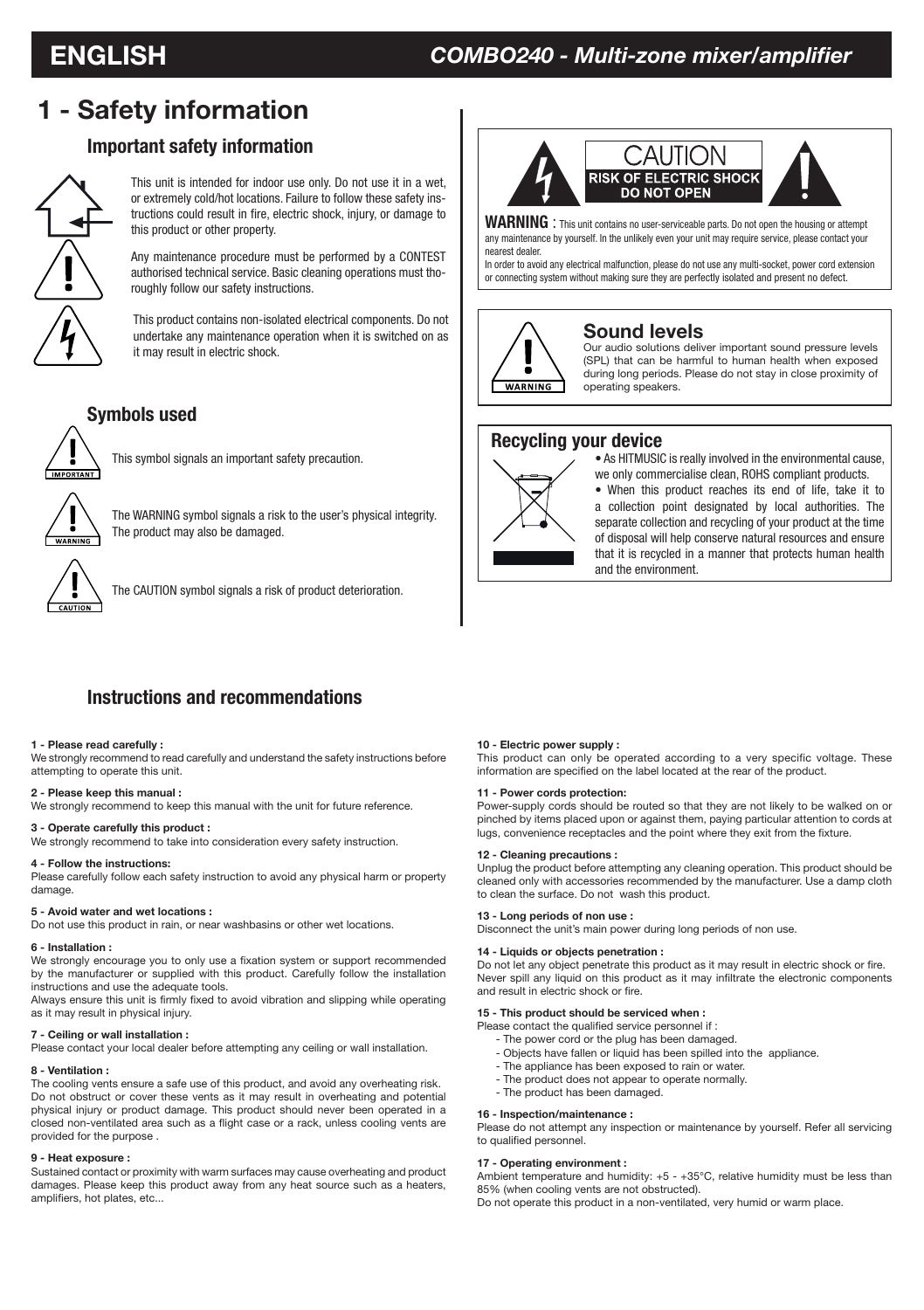# **1 - Safety information**

# **Important safety information**



This unit is intended for indoor use only. Do not use it in a wet, or extremely cold/hot locations. Failure to follow these safety instructions could result in fire, electric shock, injury, or damage to

Any maintenance procedure must be performed by a CONTEST authorised technical service. Basic cleaning operations must thoroughly follow our safety instructions.

This product contains non-isolated electrical components. Do not undertake any maintenance operation when it is switched on as it may result in electric shock.

## **Symbols used**



This symbol signals an important safety precaution.



The WARNING symbol signals a risk to the user's physical integrity. The product may also be damaged.



The CAUTION symbol signals a risk of product deterioration.



**WARNING** : This unit contains no user-serviceable parts. Do not open the housing or attempt any maintenance by yourself. In the unlikely even your unit may require service, please contact your nearest dealer.

In order to avoid any electrical malfunction, please do not use any multi-socket, power cord extension or connecting system without making sure they are perfectly isolated and present no defect.



#### **Sound levels**

Our audio solutions deliver important sound pressure levels (SPL) that can be harmful to human health when exposed during long periods. Please do not stay in close proximity of operating speakers.

#### **Recycling your device**



• As HITMUSIC is really involved in the environmental cause, we only commercialise clean, ROHS compliant products.

• When this product reaches its end of life, take it to a collection point designated by local authorities. The separate collection and recycling of your product at the time of disposal will help conserve natural resources and ensure that it is recycled in a manner that protects human health and the environment.

## **Instructions and recommendations**

#### **1 - Please read carefully :**

We strongly recommend to read carefully and understand the safety instructions before attempting to operate this unit.

#### **2 - Please keep this manual :**

We strongly recommend to keep this manual with the unit for future reference.

#### **3 - Operate carefully this product :**

We strongly recommend to take into consideration every safety instruction.

#### **4 - Follow the instructions:**

Please carefully follow each safety instruction to avoid any physical harm or property damage.

#### **5 - Avoid water and wet locations :**

Do not use this product in rain, or near washbasins or other wet locations.

#### **6 - Installation :**

We strongly encourage you to only use a fixation system or support recommended by the manufacturer or supplied with this product. Carefully follow the installation instructions and use the adequate tools.

Always ensure this unit is firmly fixed to avoid vibration and slipping while operating as it may result in physical injury.

#### **7 - Ceiling or wall installation :**

Please contact your local dealer before attempting any ceiling or wall installation.

#### **8 - Ventilation :**

The cooling vents ensure a safe use of this product, and avoid any overheating risk. Do not obstruct or cover these vents as it may result in overheating and potential physical injury or product damage. This product should never been operated in a closed non-ventilated area such as a flight case or a rack, unless cooling vents are provided for the purpose .

#### **9 - Heat exposure :**

Sustained contact or proximity with warm surfaces may cause overheating and product damages. Please keep this product away from any heat source such as a heaters, amplifiers, hot plates, etc...

#### **10 - Electric power supply :**

This product can only be operated according to a very specific voltage. These information are specified on the label located at the rear of the product.

#### **11 - Power cords protection:**

Power-supply cords should be routed so that they are not likely to be walked on or pinched by items placed upon or against them, paying particular attention to cords at lugs, convenience receptacles and the point where they exit from the fixture.

#### **12 - Cleaning precautions :**

Unplug the product before attempting any cleaning operation. This product should be cleaned only with accessories recommended by the manufacturer. Use a damp cloth to clean the surface. Do not wash this product.

#### **13 - Long periods of non use :**

Disconnect the unit's main power during long periods of non use.

#### **14 - Liquids or objects penetration :**

Do not let any object penetrate this product as it may result in electric shock or fire. Never spill any liquid on this product as it may infiltrate the electronic components and result in electric shock or fire.

#### **15 - This product should be serviced when :**

Please contact the qualified service personnel if :

- The power cord or the plug has been damaged.
- Objects have fallen or liquid has been spilled into the appliance.
- The appliance has been exposed to rain or water.
- The product does not appear to operate normally. - The product has been damaged.

## **16 - Inspection/maintenance :**

Please do not attempt any inspection or maintenance by yourself. Refer all servicing to qualified personnel.

#### **17 - Operating environment :**

Ambient temperature and humidity: +5 - +35°C, relative humidity must be less than 85% (when cooling vents are not obstructed).

Do not operate this product in a non-ventilated, very humid or warm place.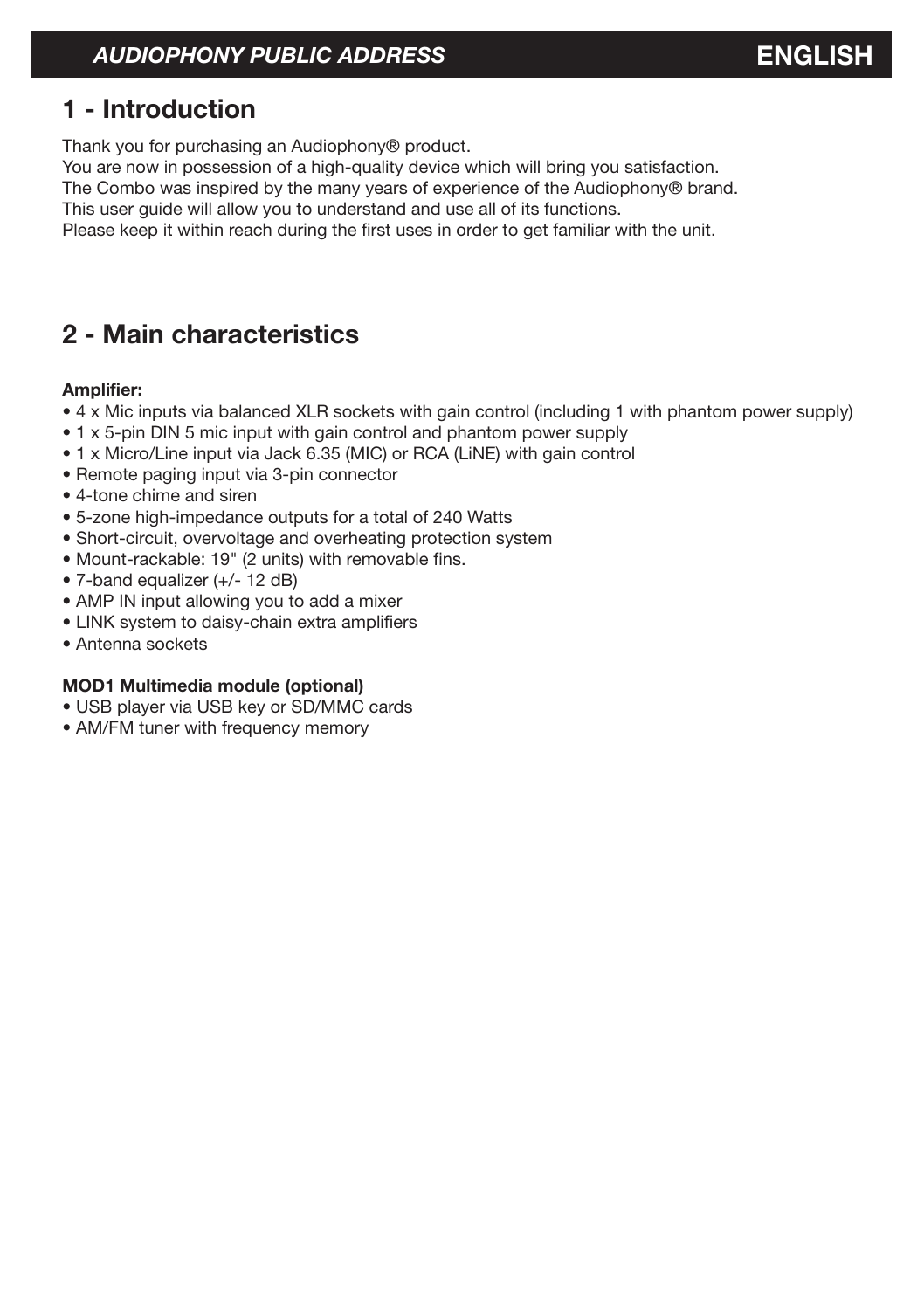# *AUDIOPHONY PUBLIC ADDRESS* **ENGLISH**

# **1 - Introduction**

Thank you for purchasing an Audiophony® product.

You are now in possession of a high-quality device which will bring you satisfaction.

The Combo was inspired by the many years of experience of the Audiophony® brand.

This user guide will allow you to understand and use all of its functions.

Please keep it within reach during the first uses in order to get familiar with the unit.

# **2 - Main characteristics**

#### **Amplifier:**

- 4 x Mic inputs via balanced XLR sockets with gain control (including 1 with phantom power supply)
- 1 x 5-pin DIN 5 mic input with gain control and phantom power supply
- 1 x Micro/Line input via Jack 6.35 (MIC) or RCA (LiNE) with gain control
- Remote paging input via 3-pin connector
- 4-tone chime and siren
- 5-zone high-impedance outputs for a total of 240 Watts
- Short-circuit, overvoltage and overheating protection system
- Mount-rackable: 19" (2 units) with removable fins.
- 7-band equalizer (+/- 12 dB)
- AMP IN input allowing you to add a mixer
- LINK system to daisy-chain extra amplifiers
- Antenna sockets

#### **MOD1 Multimedia module (optional)**

- USB player via USB key or SD/MMC cards
- AM/FM tuner with frequency memory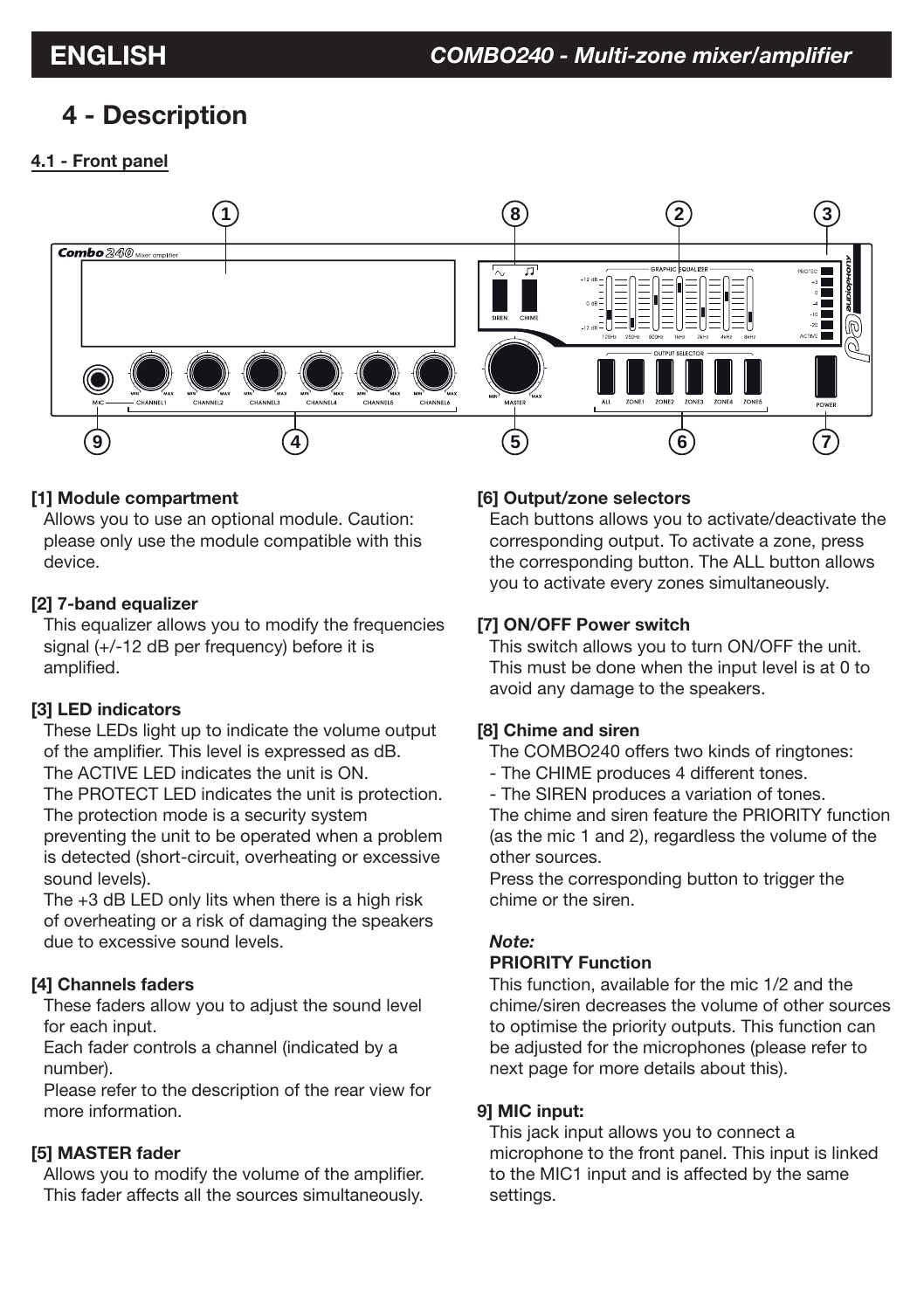# **4 - Description**

# **4.1 - Front panel**



# **[1] Module compartment**

Allows you to use an optional module. Caution: please only use the module compatible with this device.

# **[2] 7-band equalizer**

This equalizer allows you to modify the frequencies signal (+/-12 dB per frequency) before it is amplified.

# **[3] LED indicators**

These LEDs light up to indicate the volume output of the amplifier. This level is expressed as dB. The ACTIVE LED indicates the unit is ON.

The PROTECT LED indicates the unit is protection. The protection mode is a security system

preventing the unit to be operated when a problem is detected (short-circuit, overheating or excessive sound levels).

The +3 dB LED only lits when there is a high risk of overheating or a risk of damaging the speakers due to excessive sound levels.

# **[4] Channels faders**

These faders allow you to adjust the sound level for each input.

Each fader controls a channel (indicated by a number).

Please refer to the description of the rear view for more information.

# **[5] MASTER fader**

Allows you to modify the volume of the amplifier. This fader affects all the sources simultaneously.

# **[6] Output/zone selectors**

Each buttons allows you to activate/deactivate the corresponding output. To activate a zone, press the corresponding button. The ALL button allows you to activate every zones simultaneously.

# **[7] ON/OFF Power switch**

This switch allows you to turn ON/OFF the unit. This must be done when the input level is at 0 to avoid any damage to the speakers.

# **[8] Chime and siren**

The COMBO240 offers two kinds of ringtones:

- The CHIME produces 4 different tones.
- The SIREN produces a variation of tones.

The chime and siren feature the PRIORITY function (as the mic 1 and 2), regardless the volume of the other sources.

Press the corresponding button to trigger the chime or the siren.

# *Note:*

# **PRIORITY Function**

This function, available for the mic 1/2 and the chime/siren decreases the volume of other sources to optimise the priority outputs. This function can be adjusted for the microphones (please refer to next page for more details about this).

# **9] MIC input:**

This jack input allows you to connect a microphone to the front panel. This input is linked to the MIC1 input and is affected by the same settings.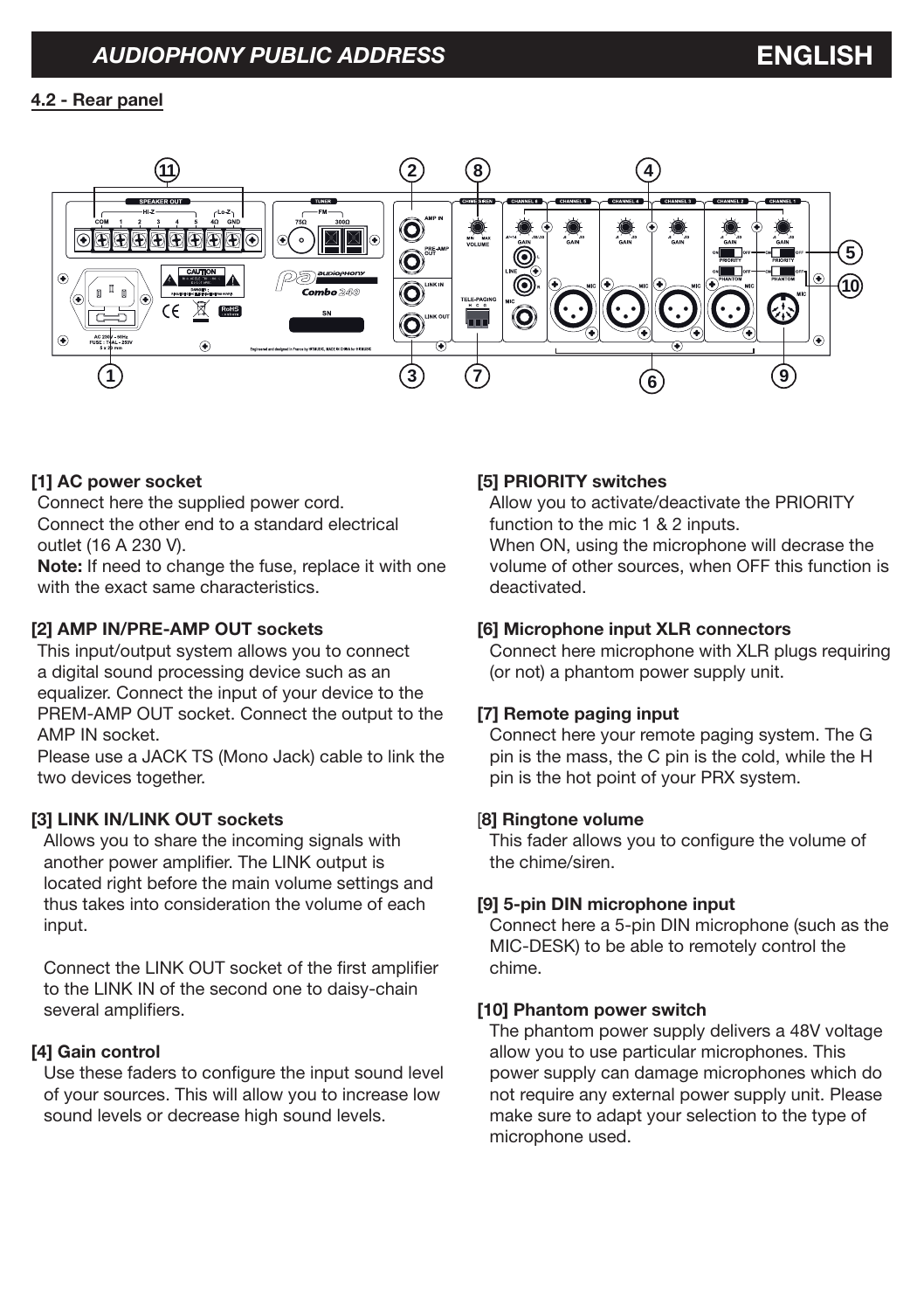# **4.2 - Rear panel**



### **[1] AC power socket**

Connect here the supplied power cord. Connect the other end to a standard electrical outlet (16 A 230 V).

**Note:** If need to change the fuse, replace it with one with the exact same characteristics.

#### **[2] AMP IN/PRE-AMP OUT sockets**

This input/output system allows you to connect a digital sound processing device such as an equalizer. Connect the input of your device to the PREM-AMP OUT socket. Connect the output to the AMP IN socket.

Please use a JACK TS (Mono Jack) cable to link the two devices together.

#### **[3] LINK IN/LINK OUT sockets**

Allows you to share the incoming signals with another power amplifier. The LINK output is located right before the main volume settings and thus takes into consideration the volume of each input.

Connect the LINK OUT socket of the first amplifier to the LINK IN of the second one to daisy-chain several amplifiers.

#### **[4] Gain control**

Use these faders to configure the input sound level of your sources. This will allow you to increase low sound levels or decrease high sound levels.

#### **[5] PRIORITY switches**

Allow you to activate/deactivate the PRIORITY function to the mic 1 & 2 inputs. When ON, using the microphone will decrase the volume of other sources, when OFF this function is deactivated.

#### **[6] Microphone input XLR connectors**

Connect here microphone with XLR plugs requiring (or not) a phantom power supply unit.

### **[7] Remote paging input**

Connect here your remote paging system. The G pin is the mass, the C pin is the cold, while the H pin is the hot point of your PRX system.

#### [**8] Ringtone volume**

This fader allows you to configure the volume of the chime/siren.

#### **[9] 5-pin DIN microphone input**

Connect here a 5-pin DIN microphone (such as the MIC-DESK) to be able to remotely control the chime.

#### **[10] Phantom power switch**

The phantom power supply delivers a 48V voltage allow you to use particular microphones. This power supply can damage microphones which do not require any external power supply unit. Please make sure to adapt your selection to the type of microphone used.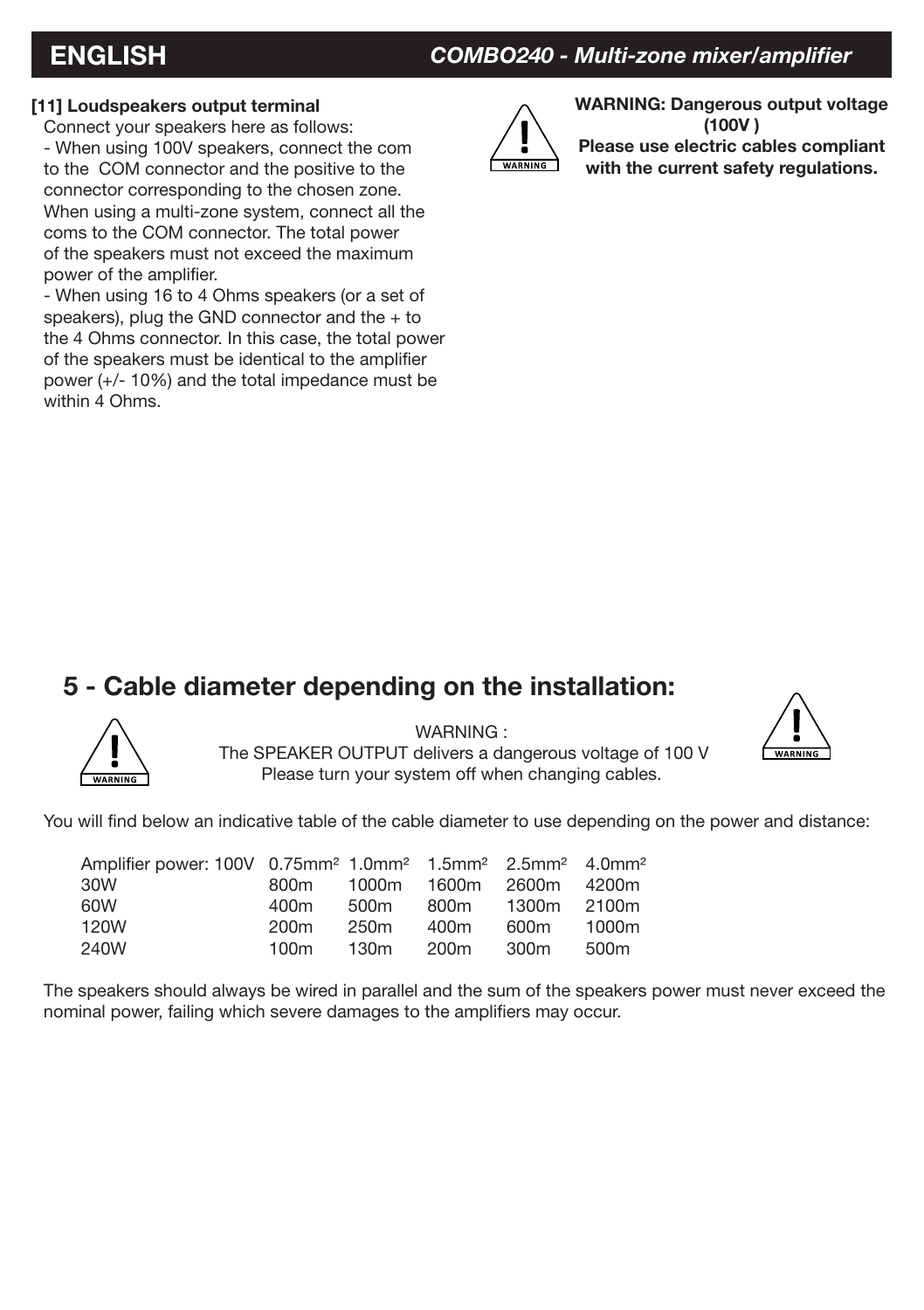# **ENGLISH** *COMBO240 - Multi-zone mixer/amplifier*

## **[11] Loudspeakers output terminal**

Connect your speakers here as follows: - When using 100V speakers, connect the com to the COM connector and the positive to the connector corresponding to the chosen zone. When using a multi-zone system, connect all the coms to the COM connector. The total power of the speakers must not exceed the maximum power of the amplifier.

- When using 16 to 4 Ohms speakers (or a set of speakers), plug the GND connector and the + to the 4 Ohms connector. In this case, the total power of the speakers must be identical to the amplifier power (+/- 10%) and the total impedance must be within 4 Ohms.



**WARNING: Dangerous output voltage (100V ) Please use electric cables compliant with the current safety regulations.**

# **5 - Cable diameter depending on the installation:**



WARNING : The SPEAKER OUTPUT delivers a dangerous voltage of 100 V Please turn your system off when changing cables.



You will find below an indicative table of the cable diameter to use depending on the power and distance:

| Amplifier power: 100V 0.75mm <sup>2</sup> 1.0mm <sup>2</sup> 1.5mm <sup>2</sup> 2.5mm <sup>2</sup> 4.0mm <sup>2</sup><br>30W | 800m             |      | 1000m 1600m 2600m |             | 4200m |
|------------------------------------------------------------------------------------------------------------------------------|------------------|------|-------------------|-------------|-------|
| 60W                                                                                                                          | 400m             | 500m | 800m              | 1300m 2100m |       |
| 120W                                                                                                                         | 200 <sub>m</sub> | 250m | 400m              | 600m        | 1000m |
| 240W                                                                                                                         | 100m             | 130m | 200m              | 300m        | 500m  |

The speakers should always be wired in parallel and the sum of the speakers power must never exceed the nominal power, failing which severe damages to the amplifiers may occur.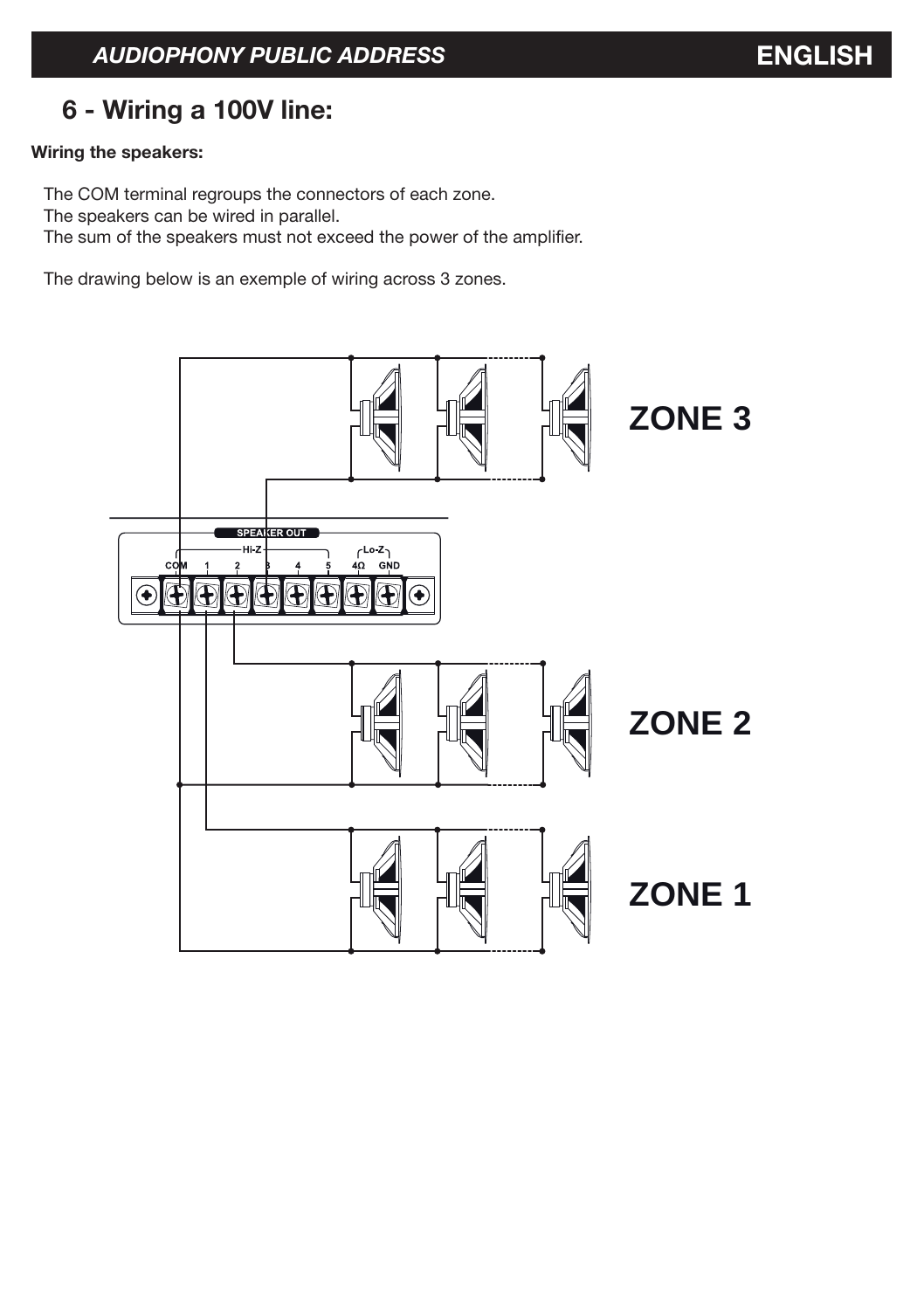# **6 - Wiring a 100V line:**

# **Wiring the speakers:**

The COM terminal regroups the connectors of each zone. The speakers can be wired in parallel. The sum of the speakers must not exceed the power of the amplifier.

The drawing below is an exemple of wiring across 3 zones.

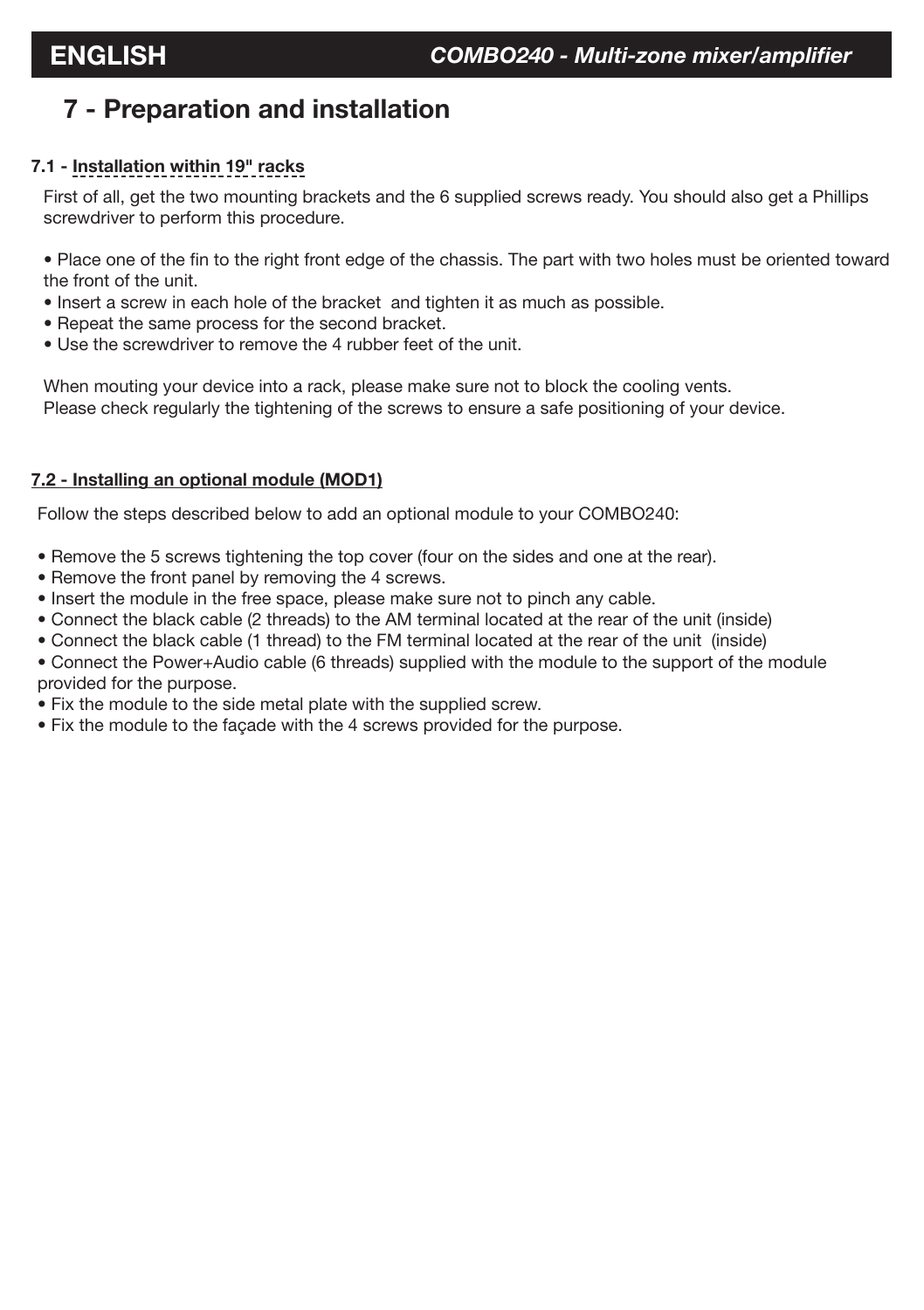# **7 - Preparation and installation**

# **7.1 - Installation within 19" racks**

First of all, get the two mounting brackets and the 6 supplied screws ready. You should also get a Phillips screwdriver to perform this procedure.

• Place one of the fin to the right front edge of the chassis. The part with two holes must be oriented toward the front of the unit.

- Insert a screw in each hole of the bracket and tighten it as much as possible.
- Repeat the same process for the second bracket.
- Use the screwdriver to remove the 4 rubber feet of the unit.

When mouting your device into a rack, please make sure not to block the cooling vents. Please check regularly the tightening of the screws to ensure a safe positioning of your device.

#### **7.2 - Installing an optional module (MOD1)**

Follow the steps described below to add an optional module to your COMBO240:

- Remove the 5 screws tightening the top cover (four on the sides and one at the rear).
- Remove the front panel by removing the 4 screws.
- Insert the module in the free space, please make sure not to pinch any cable.
- Connect the black cable (2 threads) to the AM terminal located at the rear of the unit (inside)
- Connect the black cable (1 thread) to the FM terminal located at the rear of the unit (inside)
- Connect the Power+Audio cable (6 threads) supplied with the module to the support of the module provided for the purpose.
- Fix the module to the side metal plate with the supplied screw.
- Fix the module to the façade with the 4 screws provided for the purpose.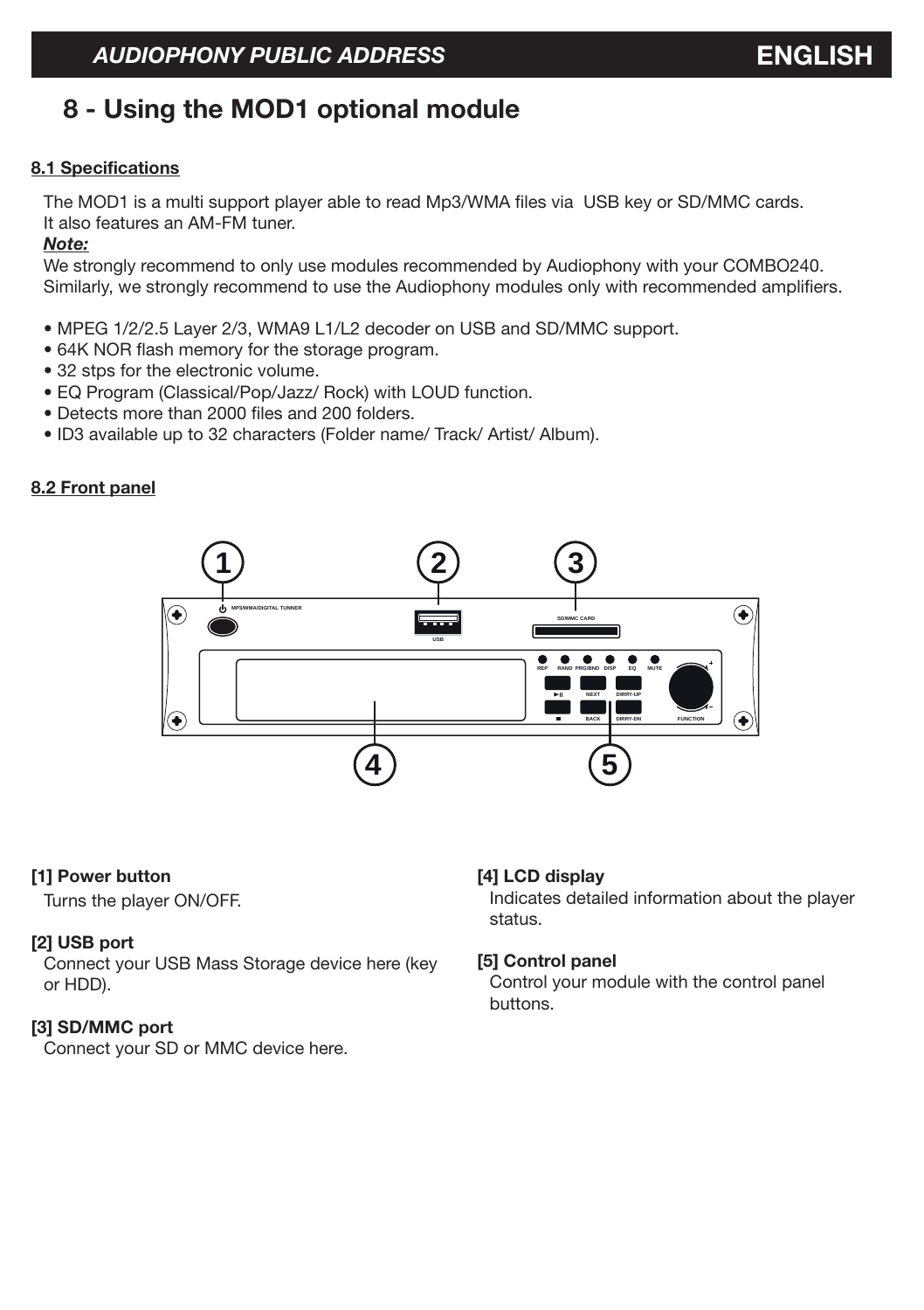# **8 - Using the MOD1 optional module**

#### **8.1 Specifications**

The MOD1 is a multi support player able to read Mp3/WMA files via USB key or SD/MMC cards. It also features an AM-FM tuner.

#### *Note:*

We strongly recommend to only use modules recommended by Audiophony with your COMBO240. Similarly, we strongly recommend to use the Audiophony modules only with recommended amplifiers.

- MPEG 1/2/2.5 Layer 2/3, WMA9 L1/L2 decoder on USB and SD/MMC support.
- 64K NOR flash memory for the storage program.
- 32 stps for the electronic volume.
- EQ Program (Classical/Pop/Jazz/ Rock) with LOUD function.
- Detects more than 2000 files and 200 folders.
- ID3 available up to 32 characters (Folder name/ Track/ Artist/ Album).

# **8.2 Front panel**



#### **[1] Power button**

Turns the player ON/OFF.

#### **[2] USB port**

Connect your USB Mass Storage device here (key or HDD).

#### **[3] SD/MMC port**

Connect your SD or MMC device here.

#### **[4] LCD display**

Indicates detailed information about the player status.

#### **[5] Control panel**

Control your module with the control panel buttons.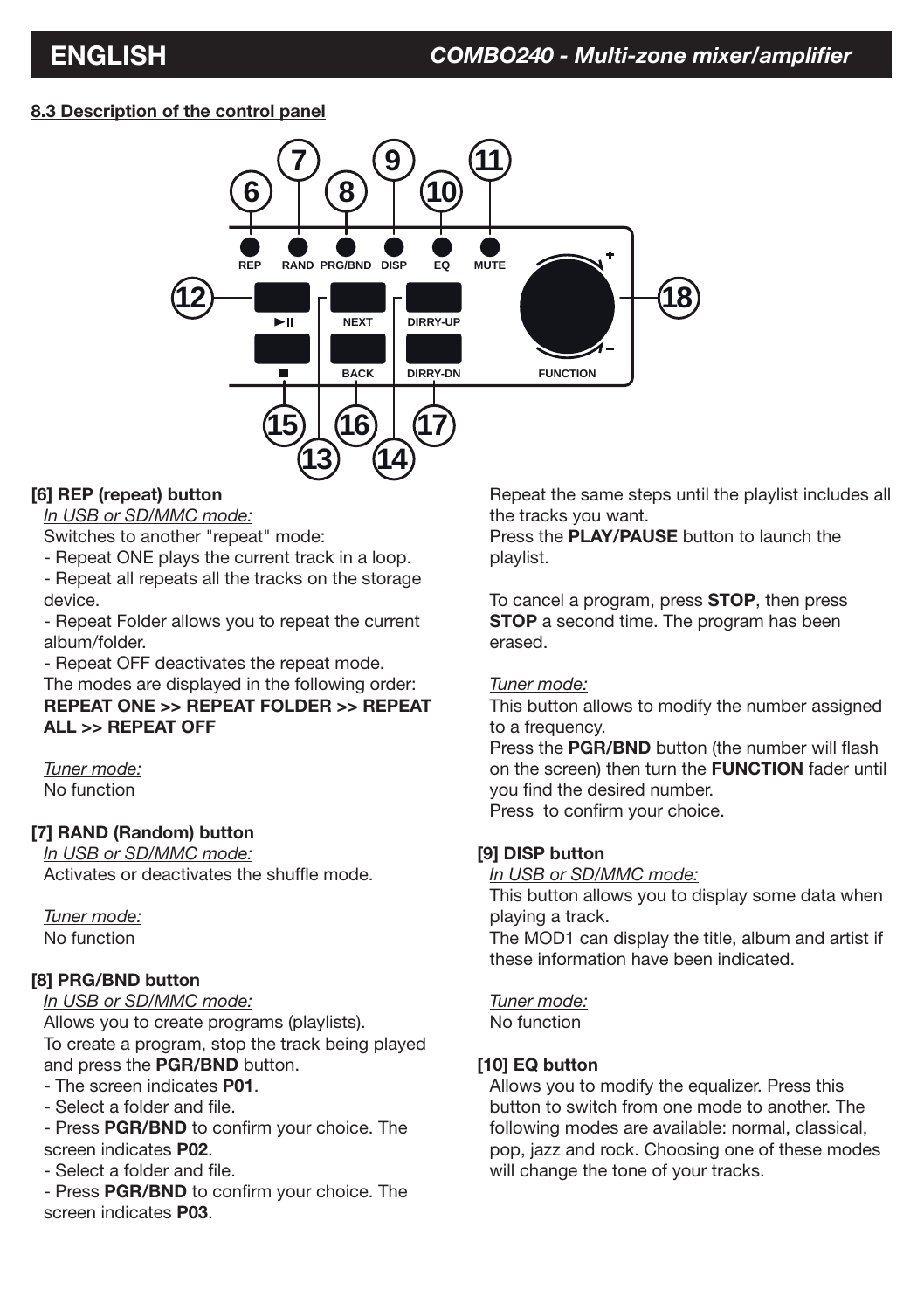# **8.3 Description of the control panel**



# **[6] REP (repeat) button**

*In USB or SD/MMC mode:*

Switches to another "repeat" mode:

- Repeat ONE plays the current track in a loop.

- Repeat all repeats all the tracks on the storage device.

- Repeat Folder allows you to repeat the current album/folder.

- Repeat OFF deactivates the repeat mode.

The modes are displayed in the following order: **REPEAT ONE >> REPEAT FOLDER >> REPEAT ALL >> REPEAT OFF**

*Tuner mode:* No function

# **[7] RAND (Random) button**

*In USB or SD/MMC mode:* Activates or deactivates the shuffle mode.

*Tuner mode:* No function

# **[8] PRG/BND button**

*In USB or SD/MMC mode:* Allows you to create programs (playlists). To create a program, stop the track being played and press the **PGR/BND** button.

- The screen indicates **P01**.

- Select a folder and file.

- Press **PGR/BND** to confirm your choice. The screen indicates **P02**.

- Select a folder and file.

- Press **PGR/BND** to confirm your choice. The screen indicates **P03**.

Repeat the same steps until the playlist includes all the tracks you want.

Press the **PLAY/PAUSE** button to launch the playlist.

To cancel a program, press **STOP**, then press **STOP** a second time. The program has been erased.

# *Tuner mode:*

This button allows to modify the number assigned to a frequency.

Press the **PGR/BND** button (the number will flash on the screen) then turn the **FUNCTION** fader until you find the desired number. Press to confirm your choice.

# **[9] DISP button**

*In USB or SD/MMC mode:*

This button allows you to display some data when playing a track.

The MOD1 can display the title, album and artist if these information have been indicated.

*Tuner mode:*

No function

# **[10] EQ button**

Allows you to modify the equalizer. Press this button to switch from one mode to another. The following modes are available: normal, classical, pop, jazz and rock. Choosing one of these modes will change the tone of your tracks.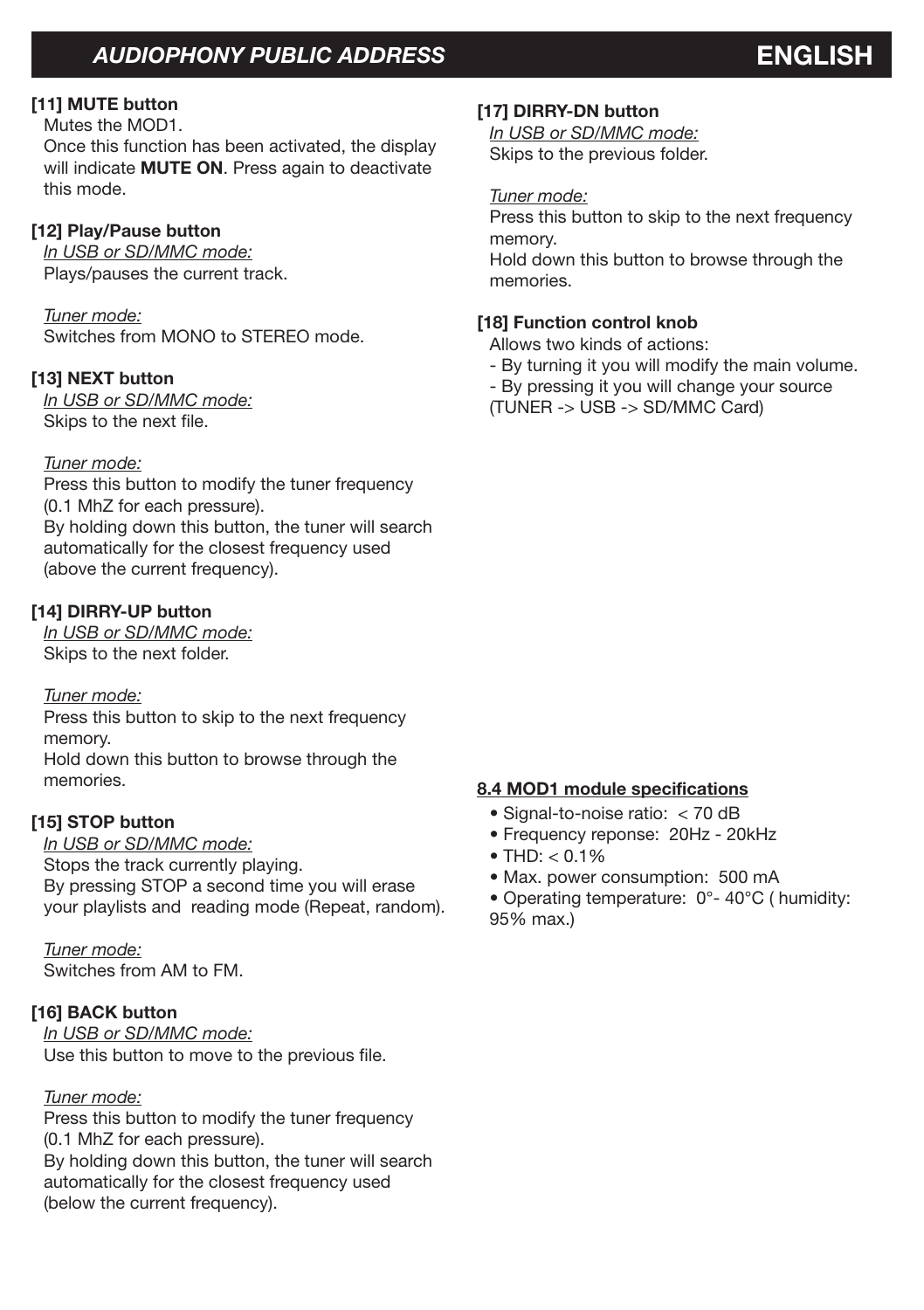# **[11] MUTE button**

Mutes the MOD1.

Once this function has been activated, the display will indicate **MUTE ON**. Press again to deactivate this mode.

# **[12] Play/Pause button**

*In USB or SD/MMC mode:* Plays/pauses the current track.

*Tuner mode:* Switches from MONO to STEREO mode.

# **[13] NEXT button**

*In USB or SD/MMC mode:* Skips to the next file.

# *Tuner mode:*

Press this button to modify the tuner frequency (0.1 MhZ for each pressure). By holding down this button, the tuner will search automatically for the closest frequency used (above the current frequency).

# **[14] DIRRY-UP button**

*In USB or SD/MMC mode:* Skips to the next folder.

# *Tuner mode:*

Press this button to skip to the next frequency memory. Hold down this button to browse through the memories.

# **[15] STOP button**

*In USB or SD/MMC mode:* Stops the track currently playing. By pressing STOP a second time you will erase your playlists and reading mode (Repeat, random).

*Tuner mode:* Switches from AM to FM.

# **[16] BACK button**

*In USB or SD/MMC mode:* Use this button to move to the previous file.

# *Tuner mode:*

Press this button to modify the tuner frequency (0.1 MhZ for each pressure). By holding down this button, the tuner will search automatically for the closest frequency used (below the current frequency).

# **[17] DIRRY-DN button**

*In USB or SD/MMC mode:* Skips to the previous folder.

# *Tuner mode:*

Press this button to skip to the next frequency memory.

Hold down this button to browse through the memories.

# **[18] Function control knob**

Allows two kinds of actions:

- By turning it you will modify the main volume.
- By pressing it you will change your source
- (TUNER -> USB -> SD/MMC Card)

# **8.4 MOD1 module specifications**

- Signal-to-noise ratio: < 70 dB
- Frequency reponse: 20Hz 20kHz
- $\bullet$  THD:  $< 0.1\%$
- Max. power consumption: 500 mA

• Operating temperature: 0°- 40°C ( humidity: 95% max.)